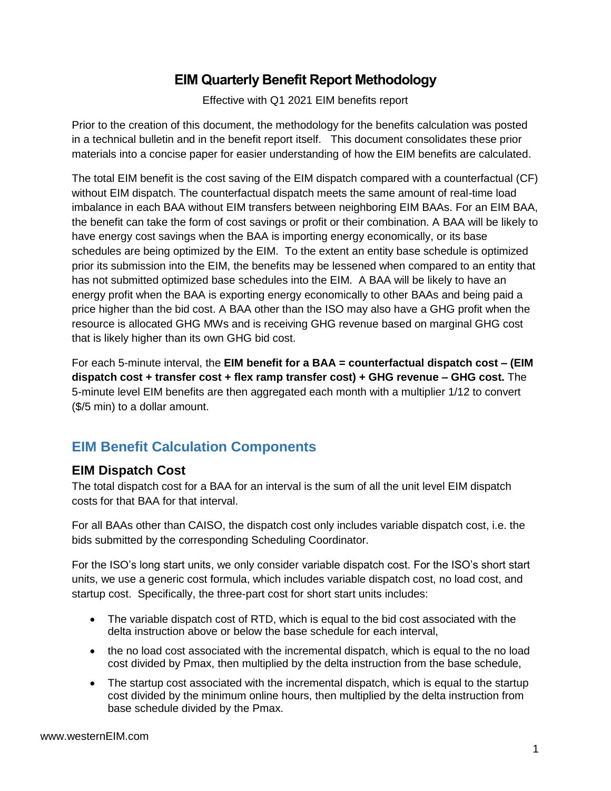## **EIM Quarterly Benefit Report Methodology**

Effective with Q1 2021 EIM benefits report

Prior to the creation of this document, the methodology for the benefits calculation was posted in a technical bulletin and in the benefit report itself. This document consolidates these prior materials into a concise paper for easier understanding of how the EIM benefits are calculated.

The total EIM benefit is the cost saving of the EIM dispatch compared with a counterfactual (CF) without EIM dispatch. The counterfactual dispatch meets the same amount of real-time load imbalance in each BAA without EIM transfers between neighboring EIM BAAs. For an EIM BAA, the benefit can take the form of cost savings or profit or their combination. A BAA will be likely to have energy cost savings when the BAA is importing energy economically, or its base schedules are being optimized by the EIM. To the extent an entity base schedule is optimized prior its submission into the EIM, the benefits may be lessened when compared to an entity that has not submitted optimized base schedules into the EIM. A BAA will be likely to have an energy profit when the BAA is exporting energy economically to other BAAs and being paid a price higher than the bid cost. A BAA other than the ISO may also have a GHG profit when the resource is allocated GHG MWs and is receiving GHG revenue based on marginal GHG cost that is likely higher than its own GHG bid cost.

For each 5-minute interval, the **EIM benefit for a BAA = counterfactual dispatch cost – (EIM dispatch cost + transfer cost + flex ramp transfer cost) + GHG revenue – GHG cost.** The 5-minute level EIM benefits are then aggregated each month with a multiplier 1/12 to convert (\$/5 min) to a dollar amount.

# **EIM Benefit Calculation Components**

## **EIM Dispatch Cost**

The total dispatch cost for a BAA for an interval is the sum of all the unit level EIM dispatch costs for that BAA for that interval.

For all BAAs other than CAISO, the dispatch cost only includes variable dispatch cost, i.e. the bids submitted by the corresponding Scheduling Coordinator.

For the ISO's long start units, we only consider variable dispatch cost. For the ISO's short start units, we use a generic cost formula, which includes variable dispatch cost, no load cost, and startup cost. Specifically, the three-part cost for short start units includes:

- The variable dispatch cost of RTD, which is equal to the bid cost associated with the delta instruction above or below the base schedule for each interval,
- the no load cost associated with the incremental dispatch, which is equal to the no load cost divided by Pmax, then multiplied by the delta instruction from the base schedule,
- The startup cost associated with the incremental dispatch, which is equal to the startup cost divided by the minimum online hours, then multiplied by the delta instruction from base schedule divided by the Pmax.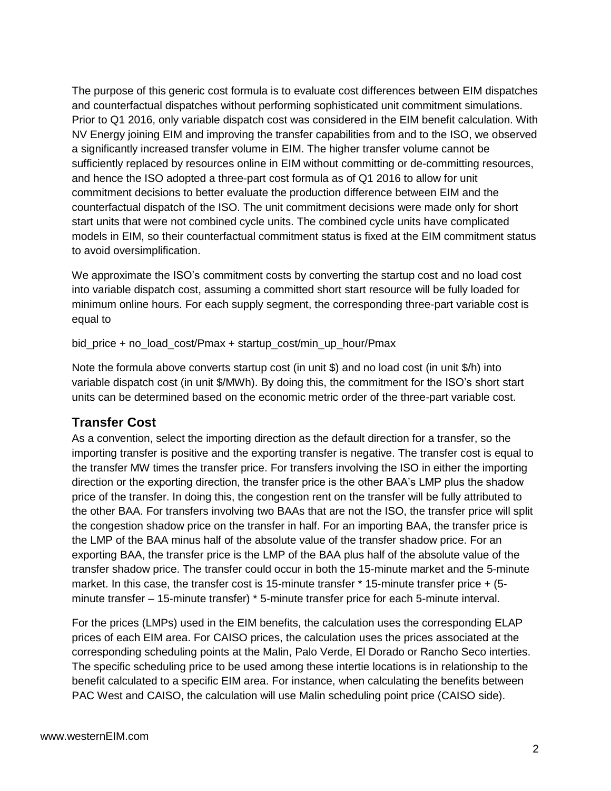The purpose of this generic cost formula is to evaluate cost differences between EIM dispatches and counterfactual dispatches without performing sophisticated unit commitment simulations. Prior to Q1 2016, only variable dispatch cost was considered in the EIM benefit calculation. With NV Energy joining EIM and improving the transfer capabilities from and to the ISO, we observed a significantly increased transfer volume in EIM. The higher transfer volume cannot be sufficiently replaced by resources online in EIM without committing or de-committing resources, and hence the ISO adopted a three-part cost formula as of Q1 2016 to allow for unit commitment decisions to better evaluate the production difference between EIM and the counterfactual dispatch of the ISO. The unit commitment decisions were made only for short start units that were not combined cycle units. The combined cycle units have complicated models in EIM, so their counterfactual commitment status is fixed at the EIM commitment status to avoid oversimplification.

We approximate the ISO's commitment costs by converting the startup cost and no load cost into variable dispatch cost, assuming a committed short start resource will be fully loaded for minimum online hours. For each supply segment, the corresponding three-part variable cost is equal to

bid\_price + no\_load\_cost/Pmax + startup\_cost/min\_up\_hour/Pmax

Note the formula above converts startup cost (in unit \$) and no load cost (in unit \$/h) into variable dispatch cost (in unit \$/MWh). By doing this, the commitment for the ISO's short start units can be determined based on the economic metric order of the three-part variable cost.

### **Transfer Cost**

As a convention, select the importing direction as the default direction for a transfer, so the importing transfer is positive and the exporting transfer is negative. The transfer cost is equal to the transfer MW times the transfer price. For transfers involving the ISO in either the importing direction or the exporting direction, the transfer price is the other BAA's LMP plus the shadow price of the transfer. In doing this, the congestion rent on the transfer will be fully attributed to the other BAA. For transfers involving two BAAs that are not the ISO, the transfer price will split the congestion shadow price on the transfer in half. For an importing BAA, the transfer price is the LMP of the BAA minus half of the absolute value of the transfer shadow price. For an exporting BAA, the transfer price is the LMP of the BAA plus half of the absolute value of the transfer shadow price. The transfer could occur in both the 15-minute market and the 5-minute market. In this case, the transfer cost is 15-minute transfer \* 15-minute transfer price + (5 minute transfer – 15-minute transfer) \* 5-minute transfer price for each 5-minute interval.

For the prices (LMPs) used in the EIM benefits, the calculation uses the corresponding ELAP prices of each EIM area. For CAISO prices, the calculation uses the prices associated at the corresponding scheduling points at the Malin, Palo Verde, El Dorado or Rancho Seco interties. The specific scheduling price to be used among these intertie locations is in relationship to the benefit calculated to a specific EIM area. For instance, when calculating the benefits between PAC West and CAISO, the calculation will use Malin scheduling point price (CAISO side).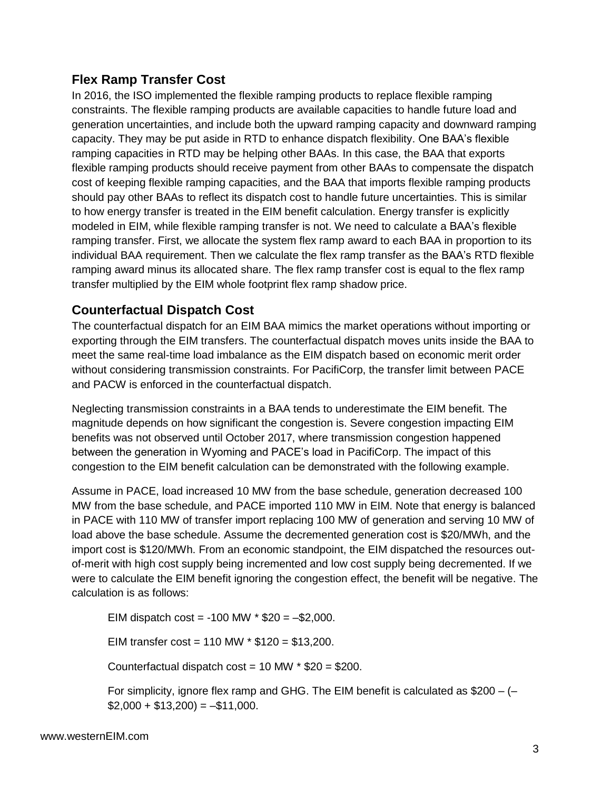## **Flex Ramp Transfer Cost**

In 2016, the ISO implemented the flexible ramping products to replace flexible ramping constraints. The flexible ramping products are available capacities to handle future load and generation uncertainties, and include both the upward ramping capacity and downward ramping capacity. They may be put aside in RTD to enhance dispatch flexibility. One BAA's flexible ramping capacities in RTD may be helping other BAAs. In this case, the BAA that exports flexible ramping products should receive payment from other BAAs to compensate the dispatch cost of keeping flexible ramping capacities, and the BAA that imports flexible ramping products should pay other BAAs to reflect its dispatch cost to handle future uncertainties. This is similar to how energy transfer is treated in the EIM benefit calculation. Energy transfer is explicitly modeled in EIM, while flexible ramping transfer is not. We need to calculate a BAA's flexible ramping transfer. First, we allocate the system flex ramp award to each BAA in proportion to its individual BAA requirement. Then we calculate the flex ramp transfer as the BAA's RTD flexible ramping award minus its allocated share. The flex ramp transfer cost is equal to the flex ramp transfer multiplied by the EIM whole footprint flex ramp shadow price.

## **Counterfactual Dispatch Cost**

The counterfactual dispatch for an EIM BAA mimics the market operations without importing or exporting through the EIM transfers. The counterfactual dispatch moves units inside the BAA to meet the same real-time load imbalance as the EIM dispatch based on economic merit order without considering transmission constraints. For PacifiCorp, the transfer limit between PACE and PACW is enforced in the counterfactual dispatch.

Neglecting transmission constraints in a BAA tends to underestimate the EIM benefit. The magnitude depends on how significant the congestion is. Severe congestion impacting EIM benefits was not observed until October 2017, where transmission congestion happened between the generation in Wyoming and PACE's load in PacifiCorp. The impact of this congestion to the EIM benefit calculation can be demonstrated with the following example.

Assume in PACE, load increased 10 MW from the base schedule, generation decreased 100 MW from the base schedule, and PACE imported 110 MW in EIM. Note that energy is balanced in PACE with 110 MW of transfer import replacing 100 MW of generation and serving 10 MW of load above the base schedule. Assume the decremented generation cost is \$20/MWh, and the import cost is \$120/MWh. From an economic standpoint, the EIM dispatched the resources outof-merit with high cost supply being incremented and low cost supply being decremented. If we were to calculate the EIM benefit ignoring the congestion effect, the benefit will be negative. The calculation is as follows:

EIM dispatch cost = -100 MW  $*$  \$20 =  $-$ \$2,000.

EIM transfer  $cost = 110$  MW  $*$  \$120 = \$13,200.

Counterfactual dispatch cost =  $10$  MW  $*$  \$20 = \$200.

For simplicity, ignore flex ramp and GHG. The EIM benefit is calculated as \$200 – (–  $$2,000 + $13,200$  =  $-$11,000$ .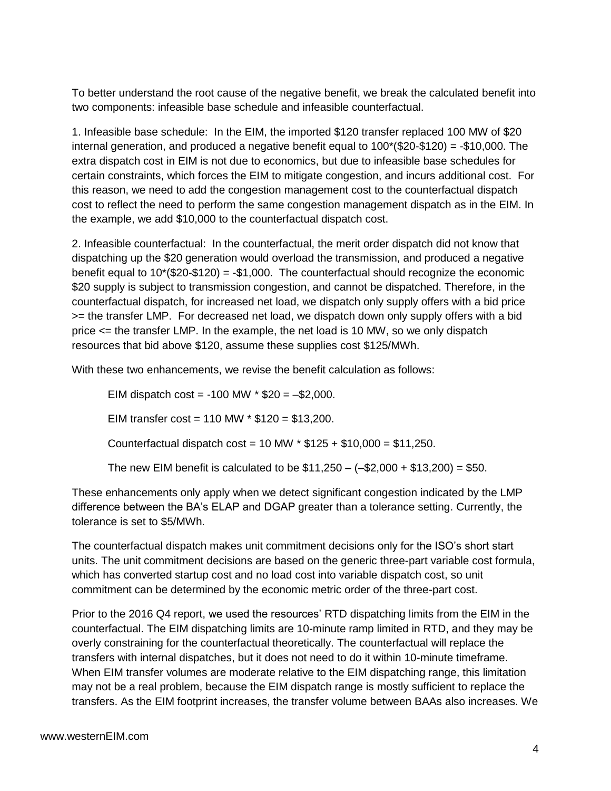To better understand the root cause of the negative benefit, we break the calculated benefit into two components: infeasible base schedule and infeasible counterfactual.

1. Infeasible base schedule: In the EIM, the imported \$120 transfer replaced 100 MW of \$20 internal generation, and produced a negative benefit equal to 100\*(\$20-\$120) = -\$10,000. The extra dispatch cost in EIM is not due to economics, but due to infeasible base schedules for certain constraints, which forces the EIM to mitigate congestion, and incurs additional cost. For this reason, we need to add the congestion management cost to the counterfactual dispatch cost to reflect the need to perform the same congestion management dispatch as in the EIM. In the example, we add \$10,000 to the counterfactual dispatch cost.

2. Infeasible counterfactual: In the counterfactual, the merit order dispatch did not know that dispatching up the \$20 generation would overload the transmission, and produced a negative benefit equal to  $10^*(\$20-\$120) = -\$1,000$ . The counterfactual should recognize the economic \$20 supply is subject to transmission congestion, and cannot be dispatched. Therefore, in the counterfactual dispatch, for increased net load, we dispatch only supply offers with a bid price >= the transfer LMP. For decreased net load, we dispatch down only supply offers with a bid price <= the transfer LMP. In the example, the net load is 10 MW, so we only dispatch resources that bid above \$120, assume these supplies cost \$125/MWh.

With these two enhancements, we revise the benefit calculation as follows:

EIM dispatch  $cost = -100$  MW  $*$  \$20 =  $-$ \$2,000. EIM transfer  $cost = 110$  MW  $*$  \$120 = \$13,200. Counterfactual dispatch  $cost = 10$  MW  $*$  \$125 + \$10,000 = \$11,250. The new EIM benefit is calculated to be  $$11,250 - (-\$2,000 + \$13,200) = \$50$ .

These enhancements only apply when we detect significant congestion indicated by the LMP difference between the BA's ELAP and DGAP greater than a tolerance setting. Currently, the tolerance is set to \$5/MWh.

The counterfactual dispatch makes unit commitment decisions only for the ISO's short start units. The unit commitment decisions are based on the generic three-part variable cost formula, which has converted startup cost and no load cost into variable dispatch cost, so unit commitment can be determined by the economic metric order of the three-part cost.

Prior to the 2016 Q4 report, we used the resources' RTD dispatching limits from the EIM in the counterfactual. The EIM dispatching limits are 10-minute ramp limited in RTD, and they may be overly constraining for the counterfactual theoretically. The counterfactual will replace the transfers with internal dispatches, but it does not need to do it within 10-minute timeframe. When EIM transfer volumes are moderate relative to the EIM dispatching range, this limitation may not be a real problem, because the EIM dispatch range is mostly sufficient to replace the transfers. As the EIM footprint increases, the transfer volume between BAAs also increases. We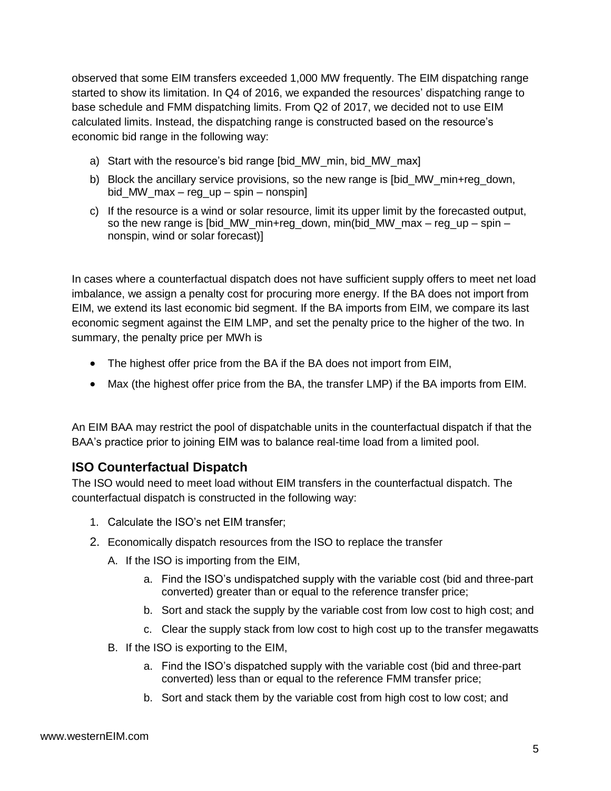observed that some EIM transfers exceeded 1,000 MW frequently. The EIM dispatching range started to show its limitation. In Q4 of 2016, we expanded the resources' dispatching range to base schedule and FMM dispatching limits. From Q2 of 2017, we decided not to use EIM calculated limits. Instead, the dispatching range is constructed based on the resource's economic bid range in the following way:

- a) Start with the resource's bid range [bid\_MW\_min, bid\_MW\_max]
- b) Block the ancillary service provisions, so the new range is [bid\_MW\_min+reg\_down, bid\_MW\_max – reg\_up – spin – nonspin]
- c) If the resource is a wind or solar resource, limit its upper limit by the forecasted output, so the new range is [bid\_MW\_min+reg\_down, min(bid\_MW\_max – reg\_up – spin – nonspin, wind or solar forecast)]

In cases where a counterfactual dispatch does not have sufficient supply offers to meet net load imbalance, we assign a penalty cost for procuring more energy. If the BA does not import from EIM, we extend its last economic bid segment. If the BA imports from EIM, we compare its last economic segment against the EIM LMP, and set the penalty price to the higher of the two. In summary, the penalty price per MWh is

- The highest offer price from the BA if the BA does not import from EIM,
- Max (the highest offer price from the BA, the transfer LMP) if the BA imports from EIM.

An EIM BAA may restrict the pool of dispatchable units in the counterfactual dispatch if that the BAA's practice prior to joining EIM was to balance real-time load from a limited pool.

## **ISO Counterfactual Dispatch**

The ISO would need to meet load without EIM transfers in the counterfactual dispatch. The counterfactual dispatch is constructed in the following way:

- 1. Calculate the ISO's net EIM transfer;
- 2. Economically dispatch resources from the ISO to replace the transfer
	- A. If the ISO is importing from the EIM,
		- a. Find the ISO's undispatched supply with the variable cost (bid and three-part converted) greater than or equal to the reference transfer price;
		- b. Sort and stack the supply by the variable cost from low cost to high cost; and
		- c. Clear the supply stack from low cost to high cost up to the transfer megawatts
	- B. If the ISO is exporting to the EIM,
		- a. Find the ISO's dispatched supply with the variable cost (bid and three-part converted) less than or equal to the reference FMM transfer price;
		- b. Sort and stack them by the variable cost from high cost to low cost; and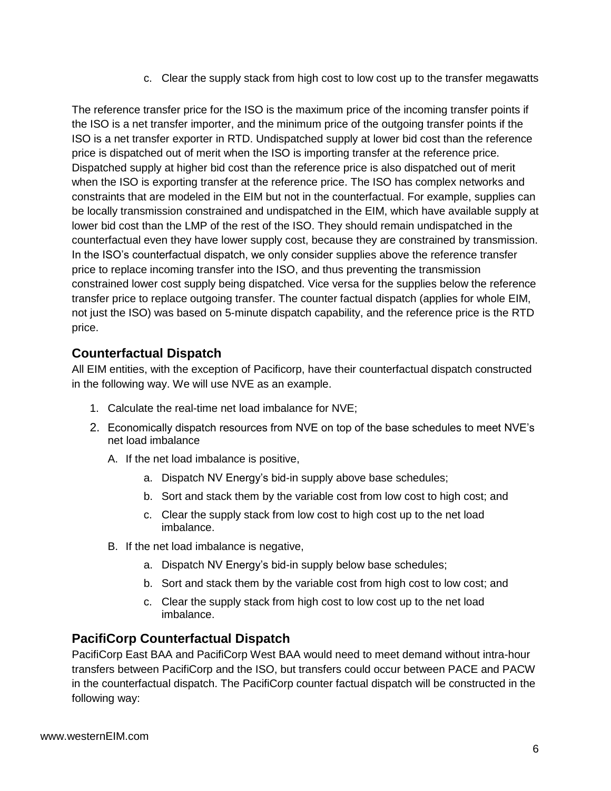c. Clear the supply stack from high cost to low cost up to the transfer megawatts

The reference transfer price for the ISO is the maximum price of the incoming transfer points if the ISO is a net transfer importer, and the minimum price of the outgoing transfer points if the ISO is a net transfer exporter in RTD. Undispatched supply at lower bid cost than the reference price is dispatched out of merit when the ISO is importing transfer at the reference price. Dispatched supply at higher bid cost than the reference price is also dispatched out of merit when the ISO is exporting transfer at the reference price. The ISO has complex networks and constraints that are modeled in the EIM but not in the counterfactual. For example, supplies can be locally transmission constrained and undispatched in the EIM, which have available supply at lower bid cost than the LMP of the rest of the ISO. They should remain undispatched in the counterfactual even they have lower supply cost, because they are constrained by transmission. In the ISO's counterfactual dispatch, we only consider supplies above the reference transfer price to replace incoming transfer into the ISO, and thus preventing the transmission constrained lower cost supply being dispatched. Vice versa for the supplies below the reference transfer price to replace outgoing transfer. The counter factual dispatch (applies for whole EIM, not just the ISO) was based on 5-minute dispatch capability, and the reference price is the RTD price.

## **Counterfactual Dispatch**

All EIM entities, with the exception of Pacificorp, have their counterfactual dispatch constructed in the following way. We will use NVE as an example.

- 1. Calculate the real-time net load imbalance for NVE;
- 2. Economically dispatch resources from NVE on top of the base schedules to meet NVE's net load imbalance
	- A. If the net load imbalance is positive,
		- a. Dispatch NV Energy's bid-in supply above base schedules;
		- b. Sort and stack them by the variable cost from low cost to high cost; and
		- c. Clear the supply stack from low cost to high cost up to the net load imbalance.
	- B. If the net load imbalance is negative,
		- a. Dispatch NV Energy's bid-in supply below base schedules;
		- b. Sort and stack them by the variable cost from high cost to low cost; and
		- c. Clear the supply stack from high cost to low cost up to the net load imbalance.

## **PacifiCorp Counterfactual Dispatch**

PacifiCorp East BAA and PacifiCorp West BAA would need to meet demand without intra-hour transfers between PacifiCorp and the ISO, but transfers could occur between PACE and PACW in the counterfactual dispatch. The PacifiCorp counter factual dispatch will be constructed in the following way: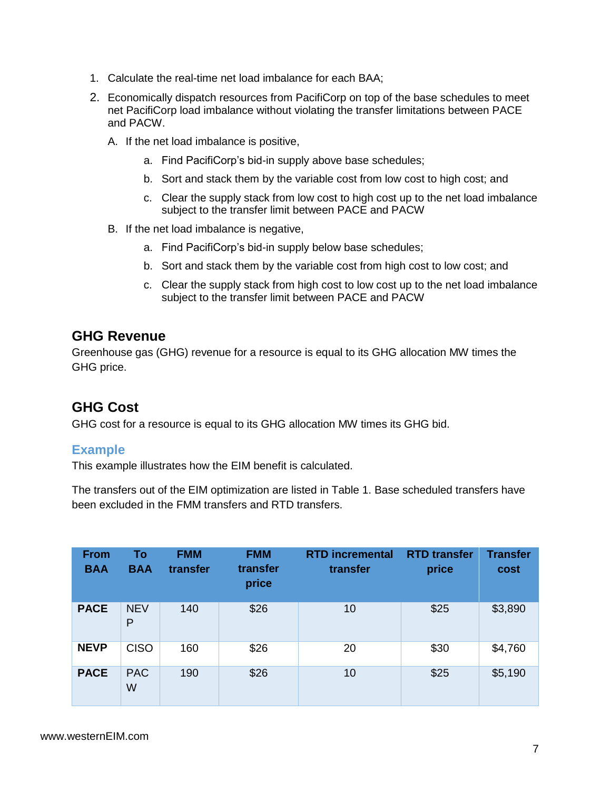- 1. Calculate the real-time net load imbalance for each BAA;
- 2. Economically dispatch resources from PacifiCorp on top of the base schedules to meet net PacifiCorp load imbalance without violating the transfer limitations between PACE and PACW.
	- A. If the net load imbalance is positive,
		- a. Find PacifiCorp's bid-in supply above base schedules;
		- b. Sort and stack them by the variable cost from low cost to high cost; and
		- c. Clear the supply stack from low cost to high cost up to the net load imbalance subject to the transfer limit between PACE and PACW
	- B. If the net load imbalance is negative,
		- a. Find PacifiCorp's bid-in supply below base schedules;
		- b. Sort and stack them by the variable cost from high cost to low cost; and
		- c. Clear the supply stack from high cost to low cost up to the net load imbalance subject to the transfer limit between PACE and PACW

## **GHG Revenue**

Greenhouse gas (GHG) revenue for a resource is equal to its GHG allocation MW times the GHG price.

## **GHG Cost**

GHG cost for a resource is equal to its GHG allocation MW times its GHG bid.

### **Example**

This example illustrates how the EIM benefit is calculated.

The transfers out of the EIM optimization are listed in Table 1. Base scheduled transfers have been excluded in the FMM transfers and RTD transfers.

| <b>From</b><br><b>BAA</b> | To<br><b>BAA</b> | <b>FMM</b><br>transfer | <b>FMM</b><br>transfer<br>price | <b>RTD incremental</b><br>transfer | <b>RTD transfer</b><br>price | <b>Transfer</b><br>cost |
|---------------------------|------------------|------------------------|---------------------------------|------------------------------------|------------------------------|-------------------------|
| <b>PACE</b>               | <b>NEV</b><br>P  | 140                    | \$26                            | 10                                 | \$25                         | \$3,890                 |
| <b>NEVP</b>               | <b>CISO</b>      | 160                    | \$26                            | 20                                 | \$30                         | \$4,760                 |
| <b>PACE</b>               | <b>PAC</b><br>W  | 190                    | \$26                            | 10                                 | \$25                         | \$5,190                 |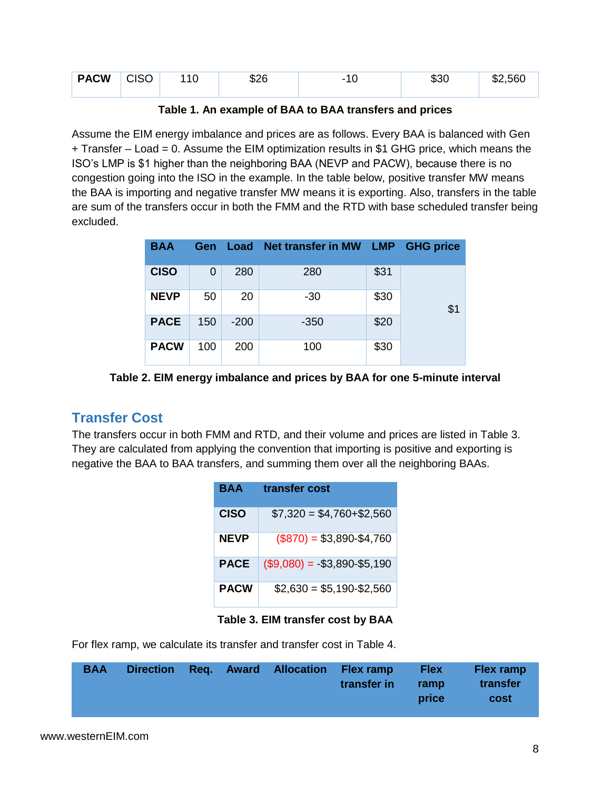| <b>PACW</b> | <b>CISO</b> | \$26 | - | აას | \$2.560<br>ጦ |
|-------------|-------------|------|---|-----|--------------|
|             |             |      |   |     |              |

|  |  |  | Table 1. An example of BAA to BAA transfers and prices |  |
|--|--|--|--------------------------------------------------------|--|
|--|--|--|--------------------------------------------------------|--|

Assume the EIM energy imbalance and prices are as follows. Every BAA is balanced with Gen + Transfer – Load = 0. Assume the EIM optimization results in \$1 GHG price, which means the ISO's LMP is \$1 higher than the neighboring BAA (NEVP and PACW), because there is no congestion going into the ISO in the example. In the table below, positive transfer MW means the BAA is importing and negative transfer MW means it is exporting. Also, transfers in the table are sum of the transfers occur in both the FMM and the RTD with base scheduled transfer being excluded.

| <b>BAA</b>  | <b>Gen</b> | Load   | Net transfer in MW LMP GHG price |      |     |
|-------------|------------|--------|----------------------------------|------|-----|
| <b>CISO</b> | 0          | 280    | 280                              | \$31 |     |
| <b>NEVP</b> | 50         | 20     | $-30$                            | \$30 | \$1 |
| <b>PACE</b> | 150        | $-200$ | $-350$                           | \$20 |     |
| <b>PACW</b> | 100        | 200    | 100                              | \$30 |     |

**Table 2. EIM energy imbalance and prices by BAA for one 5-minute interval**

## **Transfer Cost**

The transfers occur in both FMM and RTD, and their volume and prices are listed in Table 3. They are calculated from applying the convention that importing is positive and exporting is negative the BAA to BAA transfers, and summing them over all the neighboring BAAs.

| BAA         | transfer cost                 |
|-------------|-------------------------------|
| <b>CISO</b> | $$7,320 = $4,760 + $2,560$    |
| <b>NEVP</b> | $($870) = $3,890 - $4,760$    |
| <b>PACE</b> | $($9,080) = -$3,890 - $5,190$ |
| <b>PACW</b> | $$2,630 = $5,190 - $2,560$    |

**Table 3. EIM transfer cost by BAA**

For flex ramp, we calculate its transfer and transfer cost in Table 4.

| <b>BAA</b> |  | Direction Reg. Award Allocation Flex ramp | transfer in | <b>Flex</b><br>ramp<br>price | <b>Flex ramp</b><br>transfer<br>cost |
|------------|--|-------------------------------------------|-------------|------------------------------|--------------------------------------|
|            |  |                                           |             |                              |                                      |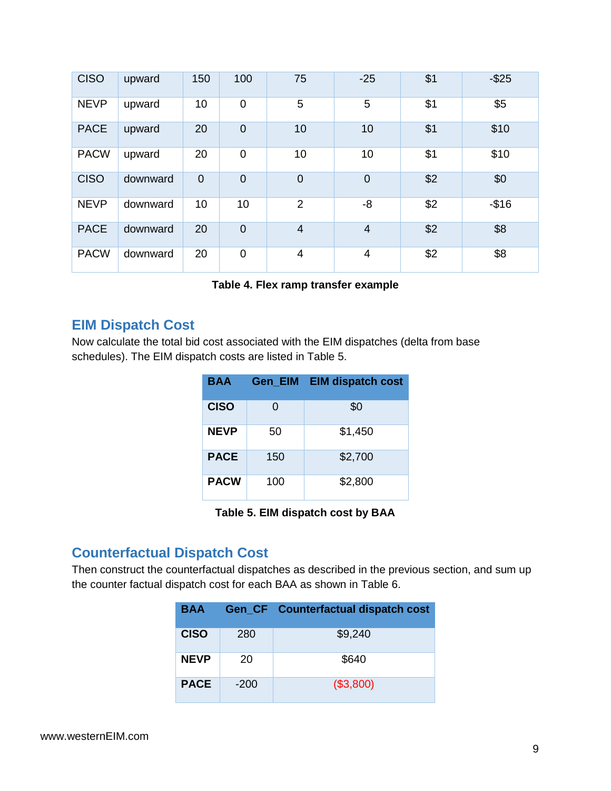| <b>CISO</b> | upward   | 150            | 100            | 75             | $-25$          | \$1 | $-$ \$25 |
|-------------|----------|----------------|----------------|----------------|----------------|-----|----------|
| <b>NEVP</b> | upward   | 10             | $\overline{0}$ | 5              | 5              | \$1 | \$5      |
| <b>PACE</b> | upward   | 20             | $\overline{0}$ | 10             | 10             | \$1 | \$10     |
| <b>PACW</b> | upward   | 20             | $\mathbf 0$    | 10             | 10             | \$1 | \$10     |
| <b>CISO</b> | downward | $\overline{0}$ | $\overline{0}$ | $\overline{0}$ | $\overline{0}$ | \$2 | \$0      |
| <b>NEVP</b> | downward | 10             | 10             | $\overline{2}$ | -8             | \$2 | $-$16$   |
| <b>PACE</b> | downward | 20             | $\overline{0}$ | $\overline{4}$ | $\overline{4}$ | \$2 | \$8      |
| <b>PACW</b> | downward | 20             | $\mathbf 0$    | 4              | 4              | \$2 | \$8      |

#### **Table 4. Flex ramp transfer example**

## **EIM Dispatch Cost**

Now calculate the total bid cost associated with the EIM dispatches (delta from base schedules). The EIM dispatch costs are listed in Table 5.

| <b>BAA</b>  | <b>Gen EIM</b> | <b>EIM dispatch cost</b> |
|-------------|----------------|--------------------------|
| <b>CISO</b> | O              | \$0                      |
| <b>NEVP</b> | 50             | \$1,450                  |
| <b>PACE</b> | 150            | \$2,700                  |
| <b>PACW</b> | 100            | \$2,800                  |

**Table 5. EIM dispatch cost by BAA**

## **Counterfactual Dispatch Cost**

Then construct the counterfactual dispatches as described in the previous section, and sum up the counter factual dispatch cost for each BAA as shown in Table 6.

| BAA         |        | <b>Gen_CF</b> Counterfactual dispatch cost |
|-------------|--------|--------------------------------------------|
| <b>CISO</b> | 280    | \$9,240                                    |
| <b>NEVP</b> | 20     | \$640                                      |
| <b>PACE</b> | $-200$ | (\$3,800)                                  |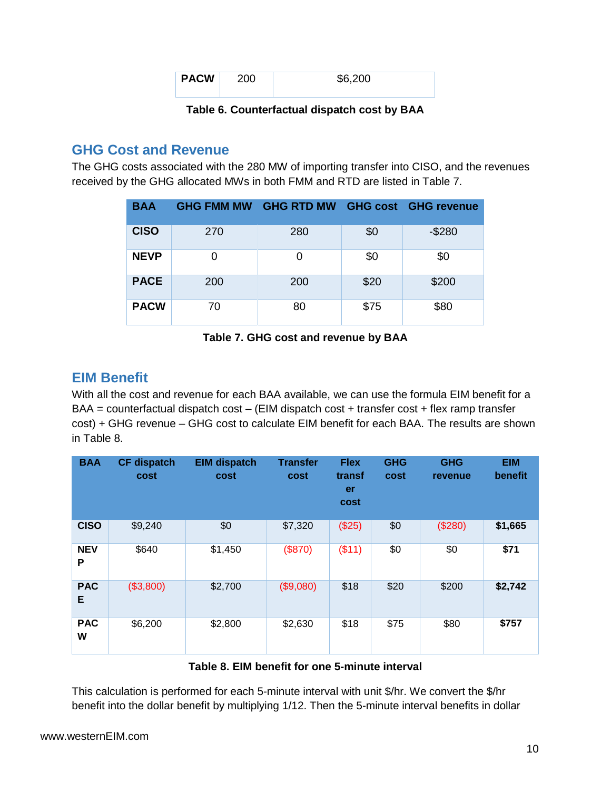| <b>PACW</b> | ንበበ | \$6.200 |
|-------------|-----|---------|
|             |     |         |

**Table 6. Counterfactual dispatch cost by BAA**

## **GHG Cost and Revenue**

The GHG costs associated with the 280 MW of importing transfer into CISO, and the revenues received by the GHG allocated MWs in both FMM and RTD are listed in Table 7.

| <b>BAA</b>  | <b>GHG FMM MW</b> | <b>GHG RTD MW GHG cost GHG revenue</b> |      |         |
|-------------|-------------------|----------------------------------------|------|---------|
| <b>CISO</b> | 270               | 280                                    | \$0  | $-$280$ |
| <b>NEVP</b> | 0                 | 0                                      | \$0  | \$0     |
| <b>PACE</b> | 200               | 200                                    | \$20 | \$200   |
| <b>PACW</b> | 70                | 80                                     | \$75 | \$80    |

### **Table 7. GHG cost and revenue by BAA**

## **EIM Benefit**

With all the cost and revenue for each BAA available, we can use the formula EIM benefit for a  $BAA =$  counterfactual dispatch cost – (EIM dispatch cost + transfer cost + flex ramp transfer cost) + GHG revenue – GHG cost to calculate EIM benefit for each BAA. The results are shown in Table 8.

| <b>BAA</b>      | <b>CF dispatch</b><br>cost | <b>EIM dispatch</b><br>cost | <b>Transfer</b><br>cost | <b>Flex</b><br>transf<br>er<br>cost | <b>GHG</b><br>cost | <b>GHG</b><br>revenue | <b>EIM</b><br>benefit |
|-----------------|----------------------------|-----------------------------|-------------------------|-------------------------------------|--------------------|-----------------------|-----------------------|
| <b>CISO</b>     | \$9,240                    | \$0                         | \$7,320                 | (\$25)                              | \$0                | (\$280)               | \$1,665               |
| <b>NEV</b><br>P | \$640                      | \$1,450                     | (\$870)                 | (\$11)                              | \$0                | \$0                   | \$71                  |
| <b>PAC</b><br>Е | (\$3,800)                  | \$2,700                     | (\$9,080)               | \$18                                | \$20               | \$200                 | \$2,742               |
| <b>PAC</b><br>W | \$6,200                    | \$2,800                     | \$2,630                 | \$18                                | \$75               | \$80                  | \$757                 |

### **Table 8. EIM benefit for one 5-minute interval**

This calculation is performed for each 5-minute interval with unit \$/hr. We convert the \$/hr benefit into the dollar benefit by multiplying 1/12. Then the 5-minute interval benefits in dollar